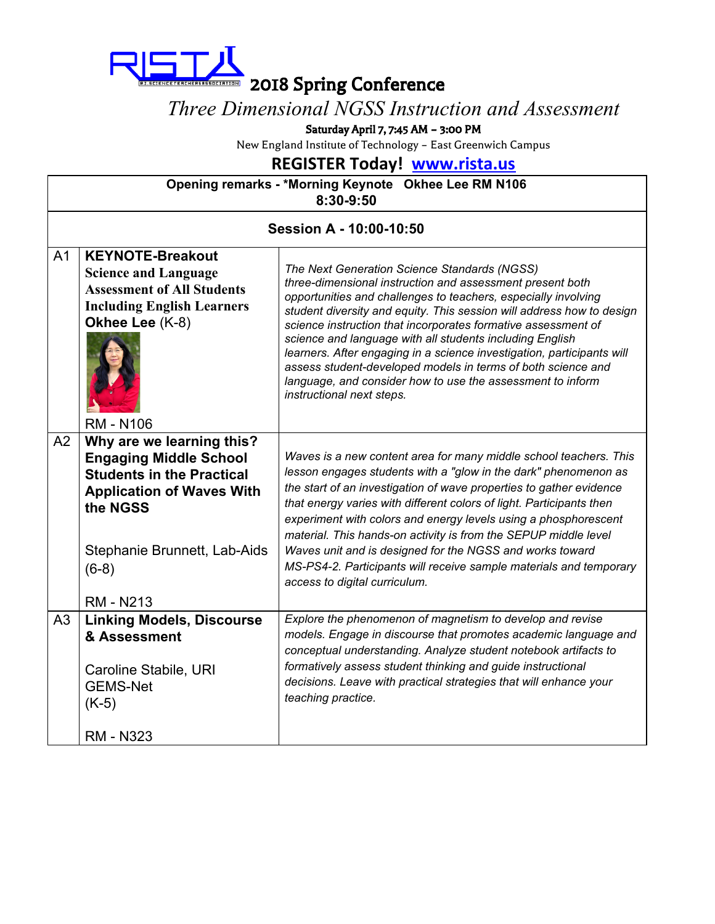

#### *Three Dimensional NGSS Instruction and Assessment*

Saturday April 7, 7:45 AM – 3:00 PM

New England Institute of Technology – East Greenwich Campus

#### **REGISTER Today! [www.rista.us](http://www.rista.us/)**

| Opening remarks - *Morning Keynote Okhee Lee RM N106 |  |
|------------------------------------------------------|--|
| 8:30-9:50                                            |  |
|                                                      |  |

| Session A - 10:00-10:50 |                                                                                                                                                                                                               |                                                                                                                                                                                                                                                                                                                                                                                                                                                                                                                                                                                                                        |
|-------------------------|---------------------------------------------------------------------------------------------------------------------------------------------------------------------------------------------------------------|------------------------------------------------------------------------------------------------------------------------------------------------------------------------------------------------------------------------------------------------------------------------------------------------------------------------------------------------------------------------------------------------------------------------------------------------------------------------------------------------------------------------------------------------------------------------------------------------------------------------|
| A <sub>1</sub>          | <b>KEYNOTE-Breakout</b><br><b>Science and Language</b><br><b>Assessment of All Students</b><br><b>Including English Learners</b><br>Okhee Lee (K-8)<br><b>RM - N106</b>                                       | The Next Generation Science Standards (NGSS)<br>three-dimensional instruction and assessment present both<br>opportunities and challenges to teachers, especially involving<br>student diversity and equity. This session will address how to design<br>science instruction that incorporates formative assessment of<br>science and language with all students including English<br>learners. After engaging in a science investigation, participants will<br>assess student-developed models in terms of both science and<br>language, and consider how to use the assessment to inform<br>instructional next steps. |
| A <sub>2</sub>          | Why are we learning this?<br><b>Engaging Middle School</b><br><b>Students in the Practical</b><br><b>Application of Waves With</b><br>the NGSS<br>Stephanie Brunnett, Lab-Aids<br>$(6-8)$<br><b>RM - N213</b> | Waves is a new content area for many middle school teachers. This<br>lesson engages students with a "glow in the dark" phenomenon as<br>the start of an investigation of wave properties to gather evidence<br>that energy varies with different colors of light. Participants then<br>experiment with colors and energy levels using a phosphorescent<br>material. This hands-on activity is from the SEPUP middle level<br>Waves unit and is designed for the NGSS and works toward<br>MS-PS4-2. Participants will receive sample materials and temporary<br>access to digital curriculum.                           |
| A <sub>3</sub>          | <b>Linking Models, Discourse</b><br>& Assessment<br>Caroline Stabile, URI<br><b>GEMS-Net</b><br>$(K-5)$<br><b>RM - N323</b>                                                                                   | Explore the phenomenon of magnetism to develop and revise<br>models. Engage in discourse that promotes academic language and<br>conceptual understanding. Analyze student notebook artifacts to<br>formatively assess student thinking and guide instructional<br>decisions. Leave with practical strategies that will enhance your<br>teaching practice.                                                                                                                                                                                                                                                              |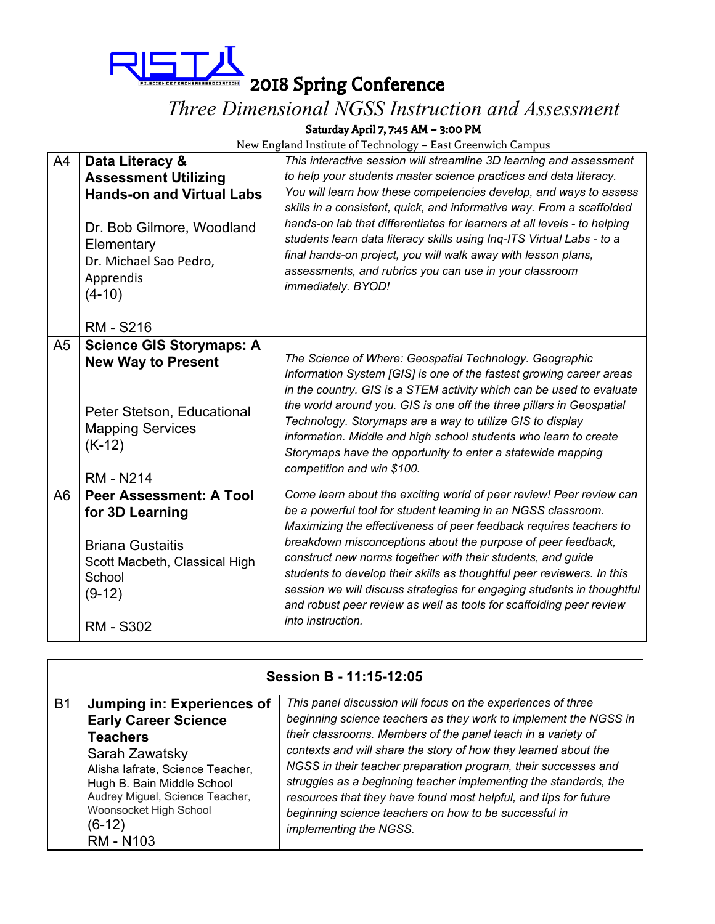

2018 Spring Conference

### *Three Dimensional NGSS Instruction and Assessment*

Saturday April 7, 7:45 AM – 3:00 PM

| A4             | Data Literacy &<br><b>Assessment Utilizing</b><br><b>Hands-on and Virtual Labs</b><br>Dr. Bob Gilmore, Woodland<br>Elementary<br>Dr. Michael Sao Pedro,<br>Apprendis<br>$(4-10)$ | This interactive session will streamline 3D learning and assessment<br>to help your students master science practices and data literacy.<br>You will learn how these competencies develop, and ways to assess<br>skills in a consistent, quick, and informative way. From a scaffolded<br>hands-on lab that differentiates for learners at all levels - to helping<br>students learn data literacy skills using Inq-ITS Virtual Labs - to a<br>final hands-on project, you will walk away with lesson plans,<br>assessments, and rubrics you can use in your classroom<br>immediately. BYOD! |
|----------------|----------------------------------------------------------------------------------------------------------------------------------------------------------------------------------|----------------------------------------------------------------------------------------------------------------------------------------------------------------------------------------------------------------------------------------------------------------------------------------------------------------------------------------------------------------------------------------------------------------------------------------------------------------------------------------------------------------------------------------------------------------------------------------------|
|                | <b>RM - S216</b>                                                                                                                                                                 |                                                                                                                                                                                                                                                                                                                                                                                                                                                                                                                                                                                              |
| A <sub>5</sub> | <b>Science GIS Storymaps: A</b><br><b>New Way to Present</b><br>Peter Stetson, Educational<br><b>Mapping Services</b><br>$(K-12)$<br><b>RM - N214</b>                            | The Science of Where: Geospatial Technology. Geographic<br>Information System [GIS] is one of the fastest growing career areas<br>in the country. GIS is a STEM activity which can be used to evaluate<br>the world around you. GIS is one off the three pillars in Geospatial<br>Technology. Storymaps are a way to utilize GIS to display<br>information. Middle and high school students who learn to create<br>Storymaps have the opportunity to enter a statewide mapping<br>competition and win \$100.                                                                                 |
| A <sub>6</sub> | <b>Peer Assessment: A Tool</b><br>for 3D Learning<br><b>Briana Gustaitis</b><br>Scott Macbeth, Classical High<br>School<br>$(9-12)$<br><b>RM - S302</b>                          | Come learn about the exciting world of peer review! Peer review can<br>be a powerful tool for student learning in an NGSS classroom.<br>Maximizing the effectiveness of peer feedback requires teachers to<br>breakdown misconceptions about the purpose of peer feedback,<br>construct new norms together with their students, and guide<br>students to develop their skills as thoughtful peer reviewers. In this<br>session we will discuss strategies for engaging students in thoughtful<br>and robust peer review as well as tools for scaffolding peer review<br>into instruction.    |

|           | Session B - 11:15-12:05                                                                                                                                                                                                                                       |                                                                                                                                                                                                                                                                                                                                                                                                                                                                                                                                                                  |  |
|-----------|---------------------------------------------------------------------------------------------------------------------------------------------------------------------------------------------------------------------------------------------------------------|------------------------------------------------------------------------------------------------------------------------------------------------------------------------------------------------------------------------------------------------------------------------------------------------------------------------------------------------------------------------------------------------------------------------------------------------------------------------------------------------------------------------------------------------------------------|--|
| <b>B1</b> | Jumping in: Experiences of<br><b>Early Career Science</b><br><b>Teachers</b><br>Sarah Zawatsky<br>Alisha lafrate, Science Teacher,<br>Hugh B. Bain Middle School<br>Audrey Miguel, Science Teacher,<br>Woonsocket High School<br>$(6-12)$<br><b>RM - N103</b> | This panel discussion will focus on the experiences of three<br>beginning science teachers as they work to implement the NGSS in<br>their classrooms. Members of the panel teach in a variety of<br>contexts and will share the story of how they learned about the<br>NGSS in their teacher preparation program, their successes and<br>struggles as a beginning teacher implementing the standards, the<br>resources that they have found most helpful, and tips for future<br>beginning science teachers on how to be successful in<br>implementing the NGSS. |  |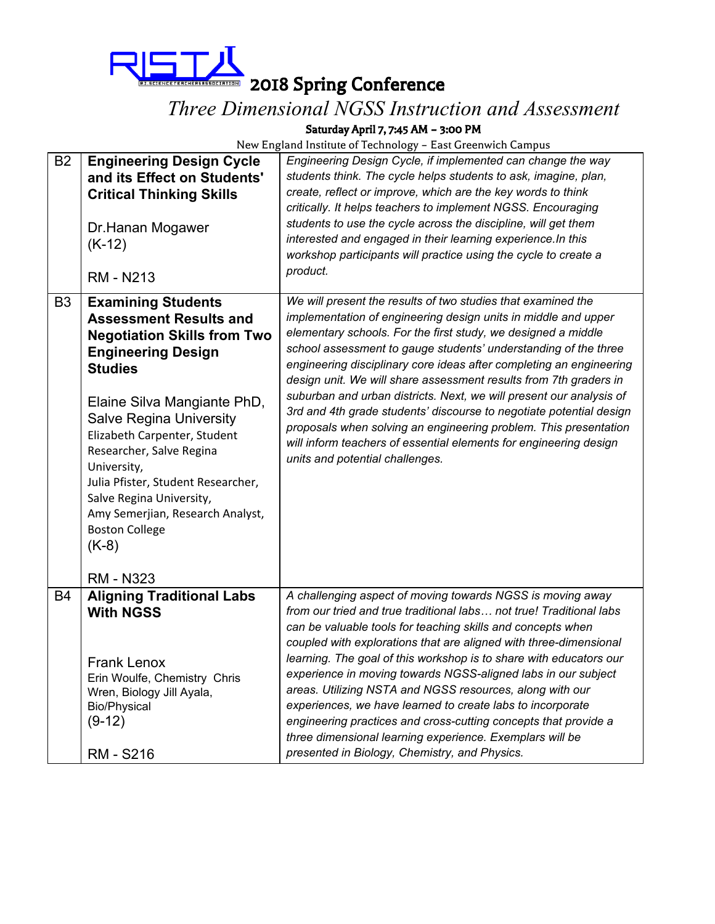

ETERCHERASSOCIAIEND 2018 Spring Conference

# *Three Dimensional NGSS Instruction and Assessment*

Saturday April 7, 7:45 AM – 3:00 PM

| <b>B2</b>      | <b>Engineering Design Cycle</b><br>and its Effect on Students'<br><b>Critical Thinking Skills</b><br>Dr.Hanan Mogawer<br>$(K-12)$<br><b>RM - N213</b>                                                                                                                                                                                                                                                                                 | Engineering Design Cycle, if implemented can change the way<br>students think. The cycle helps students to ask, imagine, plan,<br>create, reflect or improve, which are the key words to think<br>critically. It helps teachers to implement NGSS. Encouraging<br>students to use the cycle across the discipline, will get them<br>interested and engaged in their learning experience. In this<br>workshop participants will practice using the cycle to create a<br>product.                                                                                                                                                                                                                                                          |
|----------------|---------------------------------------------------------------------------------------------------------------------------------------------------------------------------------------------------------------------------------------------------------------------------------------------------------------------------------------------------------------------------------------------------------------------------------------|------------------------------------------------------------------------------------------------------------------------------------------------------------------------------------------------------------------------------------------------------------------------------------------------------------------------------------------------------------------------------------------------------------------------------------------------------------------------------------------------------------------------------------------------------------------------------------------------------------------------------------------------------------------------------------------------------------------------------------------|
| B <sub>3</sub> | <b>Examining Students</b><br><b>Assessment Results and</b><br><b>Negotiation Skills from Two</b><br><b>Engineering Design</b><br><b>Studies</b><br>Elaine Silva Mangiante PhD,<br><b>Salve Regina University</b><br>Elizabeth Carpenter, Student<br>Researcher, Salve Regina<br>University,<br>Julia Pfister, Student Researcher,<br>Salve Regina University,<br>Amy Semerjian, Research Analyst,<br><b>Boston College</b><br>$(K-8)$ | We will present the results of two studies that examined the<br>implementation of engineering design units in middle and upper<br>elementary schools. For the first study, we designed a middle<br>school assessment to gauge students' understanding of the three<br>engineering disciplinary core ideas after completing an engineering<br>design unit. We will share assessment results from 7th graders in<br>suburban and urban districts. Next, we will present our analysis of<br>3rd and 4th grade students' discourse to negotiate potential design<br>proposals when solving an engineering problem. This presentation<br>will inform teachers of essential elements for engineering design<br>units and potential challenges. |
| B <sub>4</sub> | <b>RM - N323</b><br><b>Aligning Traditional Labs</b><br><b>With NGSS</b><br><b>Frank Lenox</b><br>Erin Woulfe, Chemistry Chris<br>Wren, Biology Jill Ayala,<br><b>Bio/Physical</b><br>$(9-12)$<br><b>RM - S216</b>                                                                                                                                                                                                                    | A challenging aspect of moving towards NGSS is moving away<br>from our tried and true traditional labs not true! Traditional labs<br>can be valuable tools for teaching skills and concepts when<br>coupled with explorations that are aligned with three-dimensional<br>learning. The goal of this workshop is to share with educators our<br>experience in moving towards NGSS-aligned labs in our subject<br>areas. Utilizing NSTA and NGSS resources, along with our<br>experiences, we have learned to create labs to incorporate<br>engineering practices and cross-cutting concepts that provide a<br>three dimensional learning experience. Exemplars will be<br>presented in Biology, Chemistry, and Physics.                   |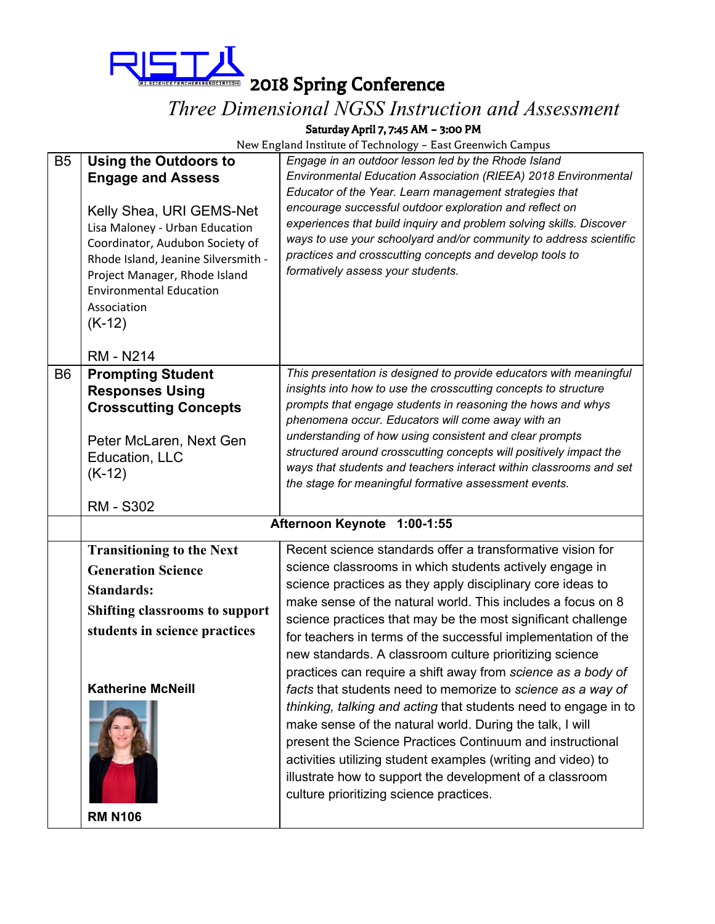

ERTERCHERS ASSOCIATION 2018 Spring Conference

## *Three Dimensional NGSS Instruction and Assessment*

Saturday April 7, 7:45 AM – 3:00 PM

| B <sub>5</sub> | <b>Using the Outdoors to</b><br><b>Engage and Assess</b><br>Kelly Shea, URI GEMS-Net<br>Lisa Maloney - Urban Education<br>Coordinator, Audubon Society of<br>Rhode Island, Jeanine Silversmith -<br>Project Manager, Rhode Island | Engage in an outdoor lesson led by the Rhode Island<br>Environmental Education Association (RIEEA) 2018 Environmental<br>Educator of the Year. Learn management strategies that<br>encourage successful outdoor exploration and reflect on<br>experiences that build inquiry and problem solving skills. Discover<br>ways to use your schoolyard and/or community to address scientific<br>practices and crosscutting concepts and develop tools to<br>formatively assess your students.                                                                                                                                                                                                                                                                                                                                                                                                                                                         |
|----------------|-----------------------------------------------------------------------------------------------------------------------------------------------------------------------------------------------------------------------------------|--------------------------------------------------------------------------------------------------------------------------------------------------------------------------------------------------------------------------------------------------------------------------------------------------------------------------------------------------------------------------------------------------------------------------------------------------------------------------------------------------------------------------------------------------------------------------------------------------------------------------------------------------------------------------------------------------------------------------------------------------------------------------------------------------------------------------------------------------------------------------------------------------------------------------------------------------|
|                | <b>Environmental Education</b><br>Association<br>$(K-12)$<br><b>RM - N214</b>                                                                                                                                                     |                                                                                                                                                                                                                                                                                                                                                                                                                                                                                                                                                                                                                                                                                                                                                                                                                                                                                                                                                  |
| B <sub>6</sub> | <b>Prompting Student</b><br><b>Responses Using</b><br><b>Crosscutting Concepts</b><br>Peter McLaren, Next Gen<br>Education, LLC<br>$(K-12)$                                                                                       | This presentation is designed to provide educators with meaningful<br>insights into how to use the crosscutting concepts to structure<br>prompts that engage students in reasoning the hows and whys<br>phenomena occur. Educators will come away with an<br>understanding of how using consistent and clear prompts<br>structured around crosscutting concepts will positively impact the<br>ways that students and teachers interact within classrooms and set<br>the stage for meaningful formative assessment events.                                                                                                                                                                                                                                                                                                                                                                                                                        |
|                | <b>RM - S302</b>                                                                                                                                                                                                                  | Afternoon Keynote 1:00-1:55                                                                                                                                                                                                                                                                                                                                                                                                                                                                                                                                                                                                                                                                                                                                                                                                                                                                                                                      |
|                |                                                                                                                                                                                                                                   |                                                                                                                                                                                                                                                                                                                                                                                                                                                                                                                                                                                                                                                                                                                                                                                                                                                                                                                                                  |
|                | <b>Transitioning to the Next</b><br><b>Generation Science</b><br><b>Standards:</b><br><b>Shifting classrooms to support</b><br>students in science practices<br><b>Katherine McNeill</b>                                          | Recent science standards offer a transformative vision for<br>science classrooms in which students actively engage in<br>science practices as they apply disciplinary core ideas to<br>make sense of the natural world. This includes a focus on 8<br>science practices that may be the most significant challenge<br>for teachers in terms of the successful implementation of the<br>new standards. A classroom culture prioritizing science<br>practices can require a shift away from science as a body of<br>facts that students need to memorize to science as a way of<br>thinking, talking and acting that students need to engage in to<br>make sense of the natural world. During the talk, I will<br>present the Science Practices Continuum and instructional<br>activities utilizing student examples (writing and video) to<br>illustrate how to support the development of a classroom<br>culture prioritizing science practices. |
|                | <b>RM N106</b>                                                                                                                                                                                                                    |                                                                                                                                                                                                                                                                                                                                                                                                                                                                                                                                                                                                                                                                                                                                                                                                                                                                                                                                                  |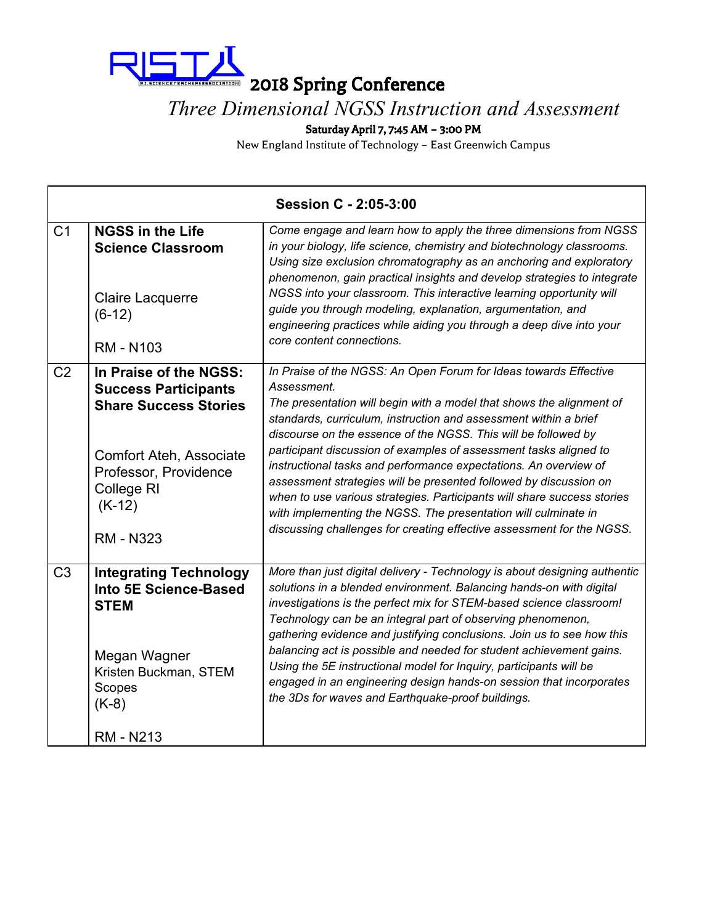

#### *Three Dimensional NGSS Instruction and Assessment*

Saturday April 7, 7:45 AM – 3:00 PM

| Session C - 2:05-3:00 |                                                                                                                                                                                         |                                                                                                                                                                                                                                                                                                                                                                                                                                                                                                                                                                                                                                                                                                                                   |
|-----------------------|-----------------------------------------------------------------------------------------------------------------------------------------------------------------------------------------|-----------------------------------------------------------------------------------------------------------------------------------------------------------------------------------------------------------------------------------------------------------------------------------------------------------------------------------------------------------------------------------------------------------------------------------------------------------------------------------------------------------------------------------------------------------------------------------------------------------------------------------------------------------------------------------------------------------------------------------|
| C <sub>1</sub>        | <b>NGSS in the Life</b><br><b>Science Classroom</b><br>Claire Lacquerre<br>$(6-12)$<br><b>RM - N103</b>                                                                                 | Come engage and learn how to apply the three dimensions from NGSS<br>in your biology, life science, chemistry and biotechnology classrooms.<br>Using size exclusion chromatography as an anchoring and exploratory<br>phenomenon, gain practical insights and develop strategies to integrate<br>NGSS into your classroom. This interactive learning opportunity will<br>guide you through modeling, explanation, argumentation, and<br>engineering practices while aiding you through a deep dive into your<br>core content connections.                                                                                                                                                                                         |
| C <sub>2</sub>        | In Praise of the NGSS:<br><b>Success Participants</b><br><b>Share Success Stories</b><br>Comfort Ateh, Associate<br>Professor, Providence<br>College RI<br>$(K-12)$<br><b>RM - N323</b> | In Praise of the NGSS: An Open Forum for Ideas towards Effective<br>Assessment.<br>The presentation will begin with a model that shows the alignment of<br>standards, curriculum, instruction and assessment within a brief<br>discourse on the essence of the NGSS. This will be followed by<br>participant discussion of examples of assessment tasks aligned to<br>instructional tasks and performance expectations. An overview of<br>assessment strategies will be presented followed by discussion on<br>when to use various strategies. Participants will share success stories<br>with implementing the NGSS. The presentation will culminate in<br>discussing challenges for creating effective assessment for the NGSS. |
| C <sub>3</sub>        | <b>Integrating Technology</b><br>Into 5E Science-Based<br><b>STEM</b><br>Megan Wagner<br>Kristen Buckman, STEM<br>Scopes<br>$(K-8)$<br><b>RM - N213</b>                                 | More than just digital delivery - Technology is about designing authentic<br>solutions in a blended environment. Balancing hands-on with digital<br>investigations is the perfect mix for STEM-based science classroom!<br>Technology can be an integral part of observing phenomenon,<br>gathering evidence and justifying conclusions. Join us to see how this<br>balancing act is possible and needed for student achievement gains.<br>Using the 5E instructional model for Inquiry, participants will be<br>engaged in an engineering design hands-on session that incorporates<br>the 3Ds for waves and Earthquake-proof buildings.                                                                                         |